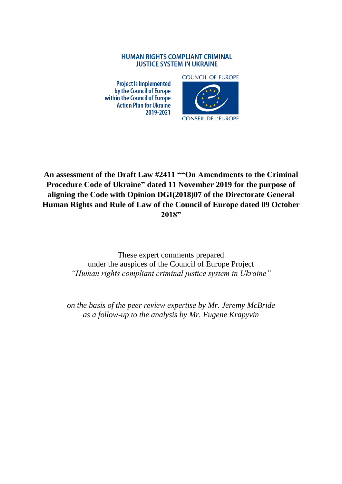### **HUMAN RIGHTS COMPLIANT CRIMINAL JUSTICE SYSTEM IN UKRAINE**

**Project is implemented** by the Council of Europe within the Council of Europe **Action Plan for Ukraine** 2019-2021



# **An assessment of the Draft Law #2411 ""On Amendments to the Criminal Procedure Code of Ukraine" dated 11 November 2019 for the purpose of aligning the Code with Opinion DGI(2018)07 of the Directorate General Human Rights and Rule of Law of the Council of Europe dated 09 October 2018"**

These expert comments prepared under the auspices of the Council of Europe Project *"Human rights compliant criminal justice system in Ukraine"*

*on the basis of the peer review expertise by Mr. Jeremy McBride as a follow-up to the analysis by Mr. Eugene Krapyvin*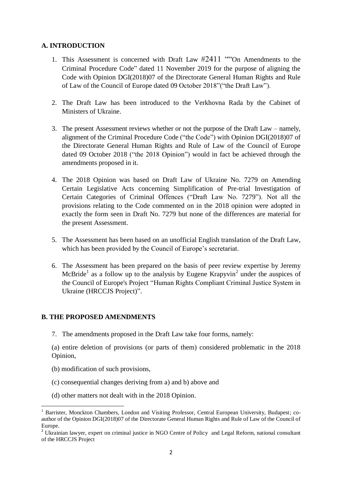# **A. INTRODUCTION**

- 1. This Assessment is concerned with Draft Law #2411 ""On Amendments to the Criminal Procedure Code" dated 11 November 2019 for the purpose of aligning the Code with Opinion DGI(2018)07 of the Directorate General Human Rights and Rule of Law of the Council of Europe dated 09 October 2018"("the Draft Law").
- 2. The Draft Law has been introduced to the Verkhovna Rada by the Cabinet of Ministers of Ukraine.
- 3. The present Assessment reviews whether or not the purpose of the Draft Law namely, alignment of the Criminal Procedure Code ("the Code") with Opinion DGI(2018)07 of the Directorate General Human Rights and Rule of Law of the Council of Europe dated 09 October 2018 ("the 2018 Opinion") would in fact be achieved through the amendments proposed in it.
- 4. The 2018 Opinion was based on Draft Law of Ukraine No. 7279 on Amending Certain Legislative Acts concerning Simplification of Pre-trial Investigation of Certain Categories of Criminal Offences ("Draft Law No. 7279"). Not all the provisions relating to the Code commented on in the 2018 opinion were adopted in exactly the form seen in Draft No. 7279 but none of the differences are material for the present Assessment.
- 5. The Assessment has been based on an unofficial English translation of the Draft Law, which has been provided by the Council of Europe's secretariat.
- 6. The Assessment has been prepared on the basis of peer review expertise by Jeremy McBride<sup>1</sup> as a follow up to the analysis by Eugene Krapyvin<sup>2</sup> under the auspices of the Council of Europe's Project "Human Rights Compliant Criminal Justice System in Ukraine (HRCCJS Project)".

# **B. THE PROPOSED AMENDMENTS**

7. The amendments proposed in the Draft Law take four forms, namely:

(a) entire deletion of provisions (or parts of them) considered problematic in the 2018 Opinion,

(b) modification of such provisions,

1

- (c) consequential changes deriving from a) and b) above and
- (d) other matters not dealt with in the 2018 Opinion.

<sup>1</sup> Barrister, Monckton Chambers, London and Visiting Professor, Central European University, Budapest; coauthor of the Opinion DGI(2018)07 of the Directorate General Human Rights and Rule of Law of the Council of Europe.

<sup>&</sup>lt;sup>2</sup> Ukrainian lawyer, expert on criminal justice in NGO Centre of Policy and Legal Reform, national consultant of the HRCCJS Project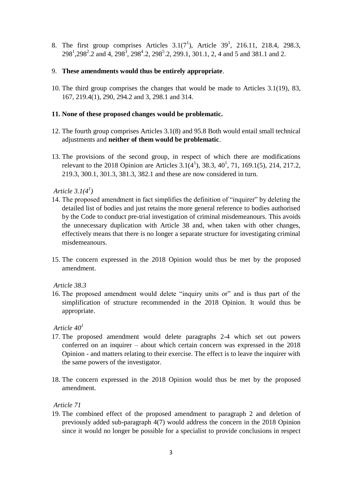8. The first group comprises Articles  $3.1(7^1)$ , Article  $39^1$ , 216.11, 218.4, 298.3,  $298<sup>1</sup>, 298<sup>2</sup>$ .2 and 4,  $298<sup>3</sup>, 298<sup>4</sup>$ .2,  $298<sup>5</sup>$ .2, 299.1, 301.1, 2, 4 and 5 and 381.1 and 2.

# 9. **These amendments would thus be entirely appropriate**.

10. The third group comprises the changes that would be made to Articles 3.1(19), 83, 167, 219.4(1), 290, 294.2 and 3, 298.1 and 314.

### **11. None of these proposed changes would be problematic.**

- 12. The fourth group comprises Articles 3.1(8) and 95.8 Both would entail small technical adjustments and **neither of them would be problematic**.
- 13. The provisions of the second group, in respect of which there are modifications relevant to the 2018 Opinion are Articles  $3.1(4^1)$ ,  $38.3$ ,  $40^1$ ,  $71$ ,  $169.1(5)$ ,  $214$ ,  $217.2$ , 219.3, 300.1, 301.3, 381.3, 382.1 and these are now considered in turn.

*Article 3.1(4<sup>1</sup> )*

- 14. The proposed amendment in fact simplifies the definition of "inquirer" by deleting the detailed list of bodies and just retains the more general reference to bodies authorised by the Code to conduct pre-trial investigation of criminal misdemeanours. This avoids the unnecessary duplication with Article 38 and, when taken with other changes, effectively means that there is no longer a separate structure for investigating criminal misdemeanours.
- 15. The concern expressed in the 2018 Opinion would thus be met by the proposed amendment.

*Article 38.3*

16. The proposed amendment would delete "inquiry units or" and is thus part of the simplification of structure recommended in the 2018 Opinion. It would thus be appropriate.

# $Article$   $40<sup>1</sup>$

- 17. The proposed amendment would delete paragraphs 2-4 which set out powers conferred on an inquirer – about which certain concern was expressed in the 2018 Opinion - and matters relating to their exercise. The effect is to leave the inquirer with the same powers of the investigator.
- 18. The concern expressed in the 2018 Opinion would thus be met by the proposed amendment.

# *Article 71*

19. The combined effect of the proposed amendment to paragraph 2 and deletion of previously added sub-paragraph 4(7) would address the concern in the 2018 Opinion since it would no longer be possible for a specialist to provide conclusions in respect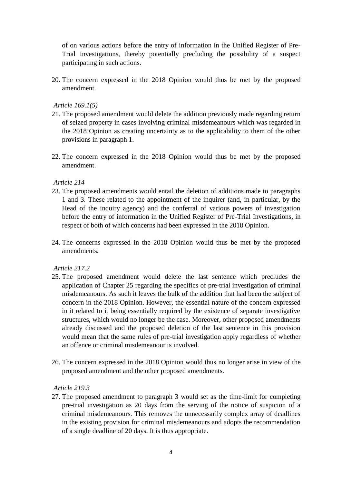of on various actions before the entry of information in the Unified Register of Pre-Trial Investigations, thereby potentially precluding the possibility of a suspect participating in such actions.

20. The concern expressed in the 2018 Opinion would thus be met by the proposed amendment.

*Article 169.1(5)*

- 21. The proposed amendment would delete the addition previously made regarding return of seized property in cases involving criminal misdemeanours which was regarded in the 2018 Opinion as creating uncertainty as to the applicability to them of the other provisions in paragraph 1.
- 22. The concern expressed in the 2018 Opinion would thus be met by the proposed amendment.

*Article 214*

- 23. The proposed amendments would entail the deletion of additions made to paragraphs 1 and 3. These related to the appointment of the inquirer (and, in particular, by the Head of the inquiry agency) and the conferral of various powers of investigation before the entry of information in the Unified Register of Pre-Trial Investigations, in respect of both of which concerns had been expressed in the 2018 Opinion.
- 24. The concerns expressed in the 2018 Opinion would thus be met by the proposed amendments.

*Article 217.2*

- 25. The proposed amendment would delete the last sentence which precludes the application of Chapter 25 regarding the specifics of pre-trial investigation of criminal misdemeanours. As such it leaves the bulk of the addition that had been the subject of concern in the 2018 Opinion. However, the essential nature of the concern expressed in it related to it being essentially required by the existence of separate investigative structures, which would no longer be the case. Moreover, other proposed amendments already discussed and the proposed deletion of the last sentence in this provision would mean that the same rules of pre-trial investigation apply regardless of whether an offence or criminal misdemeanour is involved.
- 26. The concern expressed in the 2018 Opinion would thus no longer arise in view of the proposed amendment and the other proposed amendments.

*Article 219.3*

27. The proposed amendment to paragraph 3 would set as the time-limit for completing pre-trial investigation as 20 days from the serving of the notice of suspicion of a criminal misdemeanours. This removes the unnecessarily complex array of deadlines in the existing provision for criminal misdemeanours and adopts the recommendation of a single deadline of 20 days. It is thus appropriate.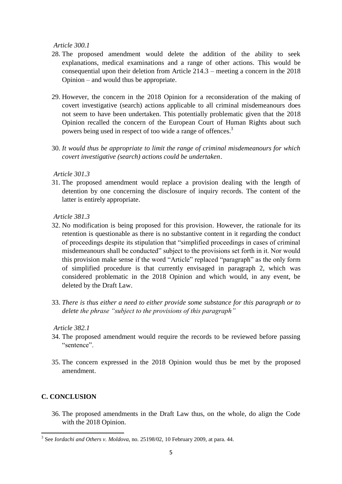*Article 300.1*

- 28. The proposed amendment would delete the addition of the ability to seek explanations, medical examinations and a range of other actions. This would be consequential upon their deletion from Article 214.3 – meeting a concern in the 2018 Opinion – and would thus be appropriate.
- 29. However, the concern in the 2018 Opinion for a reconsideration of the making of covert investigative (search) actions applicable to all criminal misdemeanours does not seem to have been undertaken. This potentially problematic given that the 2018 Opinion recalled the concern of the European Court of Human Rights about such powers being used in respect of too wide a range of offences.<sup>3</sup>
- 30. *It would thus be appropriate to limit the range of criminal misdemeanours for which covert investigative (search) actions could be undertaken*.

*Article 301.3*

31. The proposed amendment would replace a provision dealing with the length of detention by one concerning the disclosure of inquiry records. The content of the latter is entirely appropriate.

*Article 381.3*

- 32. No modification is being proposed for this provision. However, the rationale for its retention is questionable as there is no substantive content in it regarding the conduct of proceedings despite its stipulation that "simplified proceedings in cases of criminal misdemeanours shall be conducted" subject to the provisions set forth in it. Nor would this provision make sense if the word "Article" replaced "paragraph" as the only form of simplified procedure is that currently envisaged in paragraph 2, which was considered problematic in the 2018 Opinion and which would, in any event, be deleted by the Draft Law.
- 33. *There is thus either a need to either provide some substance for this paragraph or to delete the phrase "subject to the provisions of this paragraph"*

#### *Article 382.1*

- 34. The proposed amendment would require the records to be reviewed before passing "sentence".
- 35. The concern expressed in the 2018 Opinion would thus be met by the proposed amendment.

#### **C. CONCLUSION**

36. The proposed amendments in the Draft Law thus, on the whole, do align the Code with the 2018 Opinion.

 3 See *Iordachi and Others v. Moldova*, no. 25198/02, 10 February 2009, at para. 44.